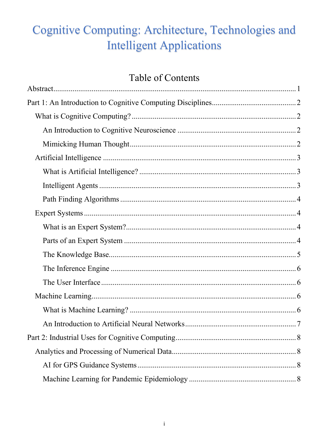# Cognitive Computing: Architecture, Technologies and **Intelligent Applications**

# Table of Contents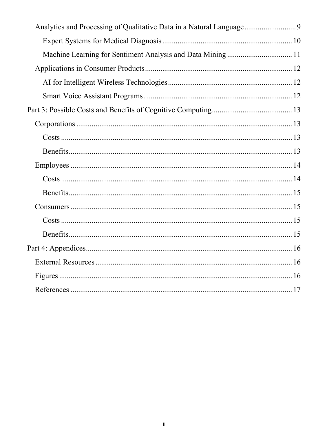| Analytics and Processing of Qualitative Data in a Natural Language 9 |  |
|----------------------------------------------------------------------|--|
|                                                                      |  |
| Machine Learning for Sentiment Analysis and Data Mining  11          |  |
|                                                                      |  |
|                                                                      |  |
|                                                                      |  |
|                                                                      |  |
|                                                                      |  |
|                                                                      |  |
|                                                                      |  |
|                                                                      |  |
|                                                                      |  |
|                                                                      |  |
|                                                                      |  |
|                                                                      |  |
|                                                                      |  |
|                                                                      |  |
|                                                                      |  |
|                                                                      |  |
|                                                                      |  |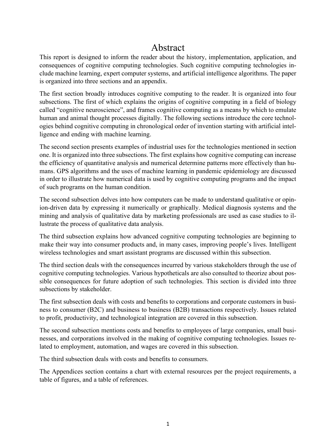### Abstract

<span id="page-2-0"></span>This report is designed to inform the reader about the history, implementation, application, and consequences of cognitive computing technologies. Such cognitive computing technologies include machine learning, expert computer systems, and artificial intelligence algorithms. The paper is organized into three sections and an appendix.

The first section broadly introduces cognitive computing to the reader. It is organized into four subsections. The first of which explains the origins of cognitive computing in a field of biology called "cognitive neuroscience", and frames cognitive computing as a means by which to emulate human and animal thought processes digitally. The following sections introduce the core technologies behind cognitive computing in chronological order of invention starting with artificial intelligence and ending with machine learning.

The second section presents examples of industrial uses for the technologies mentioned in section one. It is organized into three subsections. The first explains how cognitive computing can increase the efficiency of quantitative analysis and numerical determine patterns more effectively than humans. GPS algorithms and the uses of machine learning in pandemic epidemiology are discussed in order to illustrate how numerical data is used by cognitive computing programs and the impact of such programs on the human condition.

The second subsection delves into how computers can be made to understand qualitative or opinion-driven data by expressing it numerically or graphically. Medical diagnosis systems and the mining and analysis of qualitative data by marketing professionals are used as case studies to illustrate the process of qualitative data analysis.

The third subsection explains how advanced cognitive computing technologies are beginning to make their way into consumer products and, in many cases, improving people's lives. Intelligent wireless technologies and smart assistant programs are discussed within this subsection.

The third section deals with the consequences incurred by various stakeholders through the use of cognitive computing technologies. Various hypotheticals are also consulted to theorize about possible consequences for future adoption of such technologies. This section is divided into three subsections by stakeholder.

The first subsection deals with costs and benefits to corporations and corporate customers in business to consumer (B2C) and business to business (B2B) transactions respectively. Issues related to profit, productivity, and technological integration are covered in this subsection.

The second subsection mentions costs and benefits to employees of large companies, small businesses, and corporations involved in the making of cognitive computing technologies. Issues related to employment, automation, and wages are covered in this subsection.

The third subsection deals with costs and benefits to consumers.

The Appendices section contains a chart with external resources per the project requirements, a table of figures, and a table of references.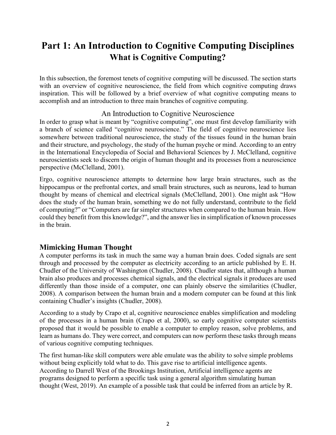## <span id="page-3-1"></span><span id="page-3-0"></span>**Part 1: An Introduction to Cognitive Computing Disciplines What is Cognitive Computing?**

In this subsection, the foremost tenets of cognitive computing will be discussed. The section starts with an overview of cognitive neuroscience, the field from which cognitive computing draws inspiration. This will be followed by a brief overview of what cognitive computing means to accomplish and an introduction to three main branches of cognitive computing.

### An Introduction to Cognitive Neuroscience

<span id="page-3-2"></span>In order to grasp what is meant by "cognitive computing", one must first develop familiarity with a branch of science called "cognitive neuroscience." The field of cognitive neuroscience lies somewhere between traditional neuroscience, the study of the tissues found in the human brain and their structure, and psychology, the study of the human psyche or mind. According to an entry in the International Encyclopedia of Social and Behavioral Sciences by J. McClelland, cognitive neuroscientists seek to discern the origin of human thought and its processes from a neuroscience perspective (McClelland, 2001).

Ergo, cognitive neuroscience attempts to determine how large brain structures, such as the hippocampus or the prefrontal cortex, and small brain structures, such as neurons, lead to human thought by means of chemical and electrical signals (McClelland, 2001). One might ask "How does the study of the human brain, something we do not fully understand, contribute to the field of computing?" or "Computers are far simpler structures when compared to the human brain. How could they benefit from this knowledge?", and the answer lies in simplification of known processes in the brain.

### <span id="page-3-3"></span>**Mimicking Human Thought**

A computer performs its task in much the same way a human brain does. Coded signals are sent through and processed by the computer as electricity according to an article published by E. H. Chudler of the University of Washington (Chudler, 2008). Chudler states that, allthough a human brain also produces and processes chemical signals, and the electrical signals it produces are used differently than those inside of a computer, one can plainly observe the similarities (Chudler, 2008). A comparison between the human brain and a modern computer can be found at [this link](https://faculty.washington.edu/chudler/bvc.html) containing Chudler's insights (Chudler, 2008).

According to a study by Crapo et al, cognitive neuroscience enables simplification and modeling of the processes in a human brain (Crapo et al, 2000), so early cognitive computer scientists proposed that it would be possible to enable a computer to employ reason, solve problems, and learn as humans do. They were correct, and computers can now perform these tasks through means of various cognitive computing techniques.

The first human-like skill computers were able emulate was the ability to solve simple problems without being explicitly told what to do. This gave rise to artificial intelligence agents. According to Darrell West of the Brookings Institution, Artificial intelligence agents are programs designed to perform a specific task using a general algorithm simulating human thought (West, 2019). An example of a possible task that could be inferred from an article by R.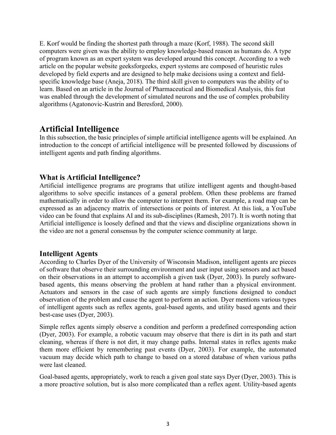E. Korf would be finding the shortest path through a maze (Korf, 1988). The second skill computers were given was the ability to employ knowledge-based reason as humans do. A type of program known as an expert system was developed around this concept. According to a web article on the popular website geeksforgeeks, expert systems are composed of heuristic rules developed by field experts and are designed to help make decisions using a context and fieldspecific knowledge base (Aneja, 2018). The third skill given to computers was the ability of to learn. Based on an article in the Journal of Pharmaceutical and Biomedical Analysis, this feat was enabled through the development of simulated neurons and the use of complex probability algorithms (Agatonovic-Kustrin and Beresford, 2000).

### <span id="page-4-0"></span>**Artificial Intelligence**

In this subsection, the basic principles of simple artificial intelligence agents will be explained. An introduction to the concept of artificial intelligence will be presented followed by discussions of intelligent agents and path finding algorithms.

### <span id="page-4-1"></span>**What is Artificial Intelligence?**

Artificial intelligence programs are programs that utilize intelligent agents and thought-based algorithms to solve specific instances of a general problem. Often these problems are framed mathematically in order to allow the computer to interpret them. For example, a road map can be expressed as an adjacency matrix of intersections or points of interest. At [this link,](https://www.youtube.com/watch?v=2ePf9rue1Ao) a YouTube video can be found that explains AI and its sub-disciplines (Ramesh, 2017). It is worth noting that Artificial intelligence is loosely defined and that the views and discipline organizations shown in the video are not a general consensus by the computer science community at large.

### <span id="page-4-2"></span>**Intelligent Agents**

According to Charles Dyer of the University of Wisconsin Madison, intelligent agents are pieces of software that observe their surrounding environment and user input using sensors and act based on their observations in an attempt to accomplish a given task (Dyer, 2003). In purely softwarebased agents, this means observing the problem at hand rather than a physical environment. Actuators and sensors in the case of such agents are simply functions designed to conduct observation of the problem and cause the agent to perform an action. Dyer mentions various types of intelligent agents such as reflex agents, goal-based agents, and utility based agents and their best-case uses (Dyer, 2003).

Simple reflex agents simply observe a condition and perform a predefined corresponding action (Dyer, 2003). For example, a robotic vacuum may observe that there is dirt in its path and start cleaning, whereas if there is not dirt, it may change paths. Internal states in reflex agents make them more efficient by remembering past events (Dyer, 2003). For example, the automated vacuum may decide which path to change to based on a stored database of when various paths were last cleaned.

Goal-based agents, appropriately, work to reach a given goal state says Dyer (Dyer, 2003). This is a more proactive solution, but is also more complicated than a reflex agent. Utility-based agents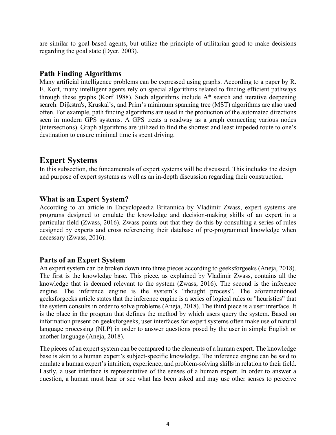are similar to goal-based agents, but utilize the principle of utilitarian good to make decisions regarding the goal state (Dyer, 2003).

### <span id="page-5-0"></span>**Path Finding Algorithms**

Many artificial intelligence problems can be expressed using graphs. According to a paper by R. E. Korf, many intelligent agents rely on special algorithms related to finding efficient pathways through these graphs (Korf 1988). Such algorithms include A\* search and iterative deepening search. Dijkstra's, Kruskal's, and Prim's minimum spanning tree (MST) algorithms are also used often. For example, path finding algorithms are used in the production of the automated directions seen in modern GPS systems. A GPS treats a roadway as a graph connecting various nodes (intersections). Graph algorithms are utilized to find the shortest and least impeded route to one's destination to ensure minimal time is spent driving.

### <span id="page-5-1"></span>**Expert Systems**

In this subsection, the fundamentals of expert systems will be discussed. This includes the design and purpose of expert systems as well as an in-depth discussion regarding their construction.

### <span id="page-5-2"></span>**What is an Expert System?**

According to an article in Encyclopaedia Britannica by Vladimir Zwass, expert systems are programs designed to emulate the knowledge and decision-making skills of an expert in a particular field (Zwass, 2016). Zwass points out that they do this by consulting a series of rules designed by experts and cross referencing their database of pre-programmed knowledge when necessary (Zwass, 2016).

### <span id="page-5-3"></span>**Parts of an Expert System**

An expert system can be broken down into three pieces according to geeksforgeeks (Aneja, 2018). The first is the knowledge base. This piece, as explained by Vladimir Zwass, contains all the knowledge that is deemed relevant to the system (Zwass, 2016). The second is the inference engine. The inference engine is the system's "thought process". The aforementioned geeksforgeeks article states that the inference engine is a series of logical rules or "heuristics" that the system consults in order to solve problems (Aneja, 2018). The third piece is a user interface. It is the place in the program that defines the method by which users query the system. Based on information present on geeksforgeeks, user interfaces for expert systems often make use of natural language processing (NLP) in order to answer questions posed by the user in simple English or another language (Aneja, 2018).

The pieces of an expert system can be compared to the elements of a human expert. The knowledge base is akin to a human expert's subject-specific knowledge. The inference engine can be said to emulate a human expert's intuition, experience, and problem-solving skills in relation to their field. Lastly, a user interface is representative of the senses of a human expert. In order to answer a question, a human must hear or see what has been asked and may use other senses to perceive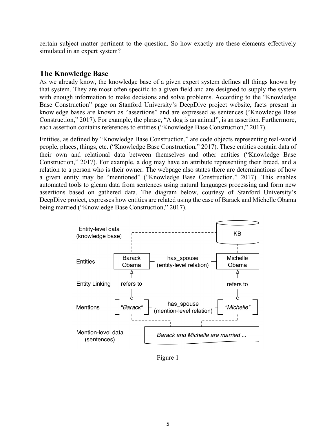certain subject matter pertinent to the question. So how exactly are these elements effectively simulated in an expert system?

### <span id="page-6-0"></span>**The Knowledge Base**

As we already know, the knowledge base of a given expert system defines all things known by that system. They are most often specific to a given field and are designed to supply the system with enough information to make decisions and solve problems. According to the "Knowledge Base Construction" page on Stanford University's DeepDive project website, facts present in knowledge bases are known as "assertions" and are expressed as sentences ("Knowledge Base Construction," 2017). For example, the phrase, "A dog is an animal", is an assertion. Furthermore, each assertion contains references to entities ("Knowledge Base Construction," 2017).

Entities, as defined by "Knowledge Base Construction," are code objects representing real-world people, places, things, etc. ("Knowledge Base Construction," 2017). These entities contain data of their own and relational data between themselves and other entities ("Knowledge Base Construction," 2017). For example, a dog may have an attribute representing their breed, and a relation to a person who is their owner. The webpage also states there are determinations of how a given entity may be "mentioned" ("Knowledge Base Construction," 2017). This enables automated tools to gleam data from sentences using natural languages processing and form new assertions based on gathered data. The diagram below, courtesy of Stanford University's DeepDive project, expresses how entities are related using the case of Barack and Michelle Obama being married ("Knowledge Base Construction," 2017).



<span id="page-6-1"></span>Figure 1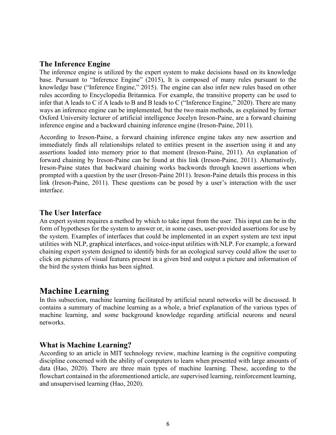#### <span id="page-7-0"></span>**The Inference Engine**

The inference engine is utilized by the expert system to make decisions based on its knowledge base. Pursuant to "Inference Engine" (2015), It is composed of many rules pursuant to the knowledge base ("Inference Engine," 2015). The engine can also infer new rules based on other rules according to Encyclopedia Britannica. For example, the transitive property can be used to infer that A leads to C if A leads to B and B leads to C ("Inference Engine," 2020). There are many ways an inference engine can be implemented, but the two main methods, as explained by former Oxford University lecturer of artificial intelligence Jocelyn Ireson-Paine, are a forward chaining inference engine and a backward chaining inference engine (Ireson-Paine, 2011).

According to Ireson-Paine, a forward chaining inference engine takes any new assertion and immediately finds all relationships related to entities present in the assertion using it and any assertions loaded into memory prior to that moment (Ireson-Paine, 2011). An explanation of forward chaining by Ireson-Paine can be found at [this link \(](http://www.j-paine.org/students/lectures/lect3/node11.html#SECTION00081000000000000000)Ireson-Paine, 2011). Alternatively, Ireson-Paine states that backward chaining works backwords through known assertions when prompted with a question by the user (Ireson-Paine 2011). Ireson-Paine details this process in [this](http://www.j-paine.org/students/lectures/lect3/node12.html)  [link](http://www.j-paine.org/students/lectures/lect3/node12.html) (Ireson-Paine, 2011). These questions can be posed by a user's interaction with the user interface.

### <span id="page-7-1"></span>**The User Interface**

An expert system requires a method by which to take input from the user. This input can be in the form of hypotheses for the system to answer or, in some cases, user-provided assertions for use by the system. Examples of interfaces that could be implemented in an expert system are text input utilities with NLP, graphical interfaces, and voice-input utilities with NLP. For example, a forward chaining expert system designed to identify birds for an ecological survey could allow the user to click on pictures of visual features present in a given bird and output a picture and information of the bird the system thinks has been sighted.

### <span id="page-7-2"></span>**Machine Learning**

In this subsection, machine learning facilitated by artificial neural networks will be discussed. It contains a summary of machine learning as a whole, a brief explanation of the various types of machine learning, and some background knowledge regarding artificial neurons and neural networks.

### <span id="page-7-3"></span>**What is Machine Learning?**

According to an article in MIT technology review, machine learning is the cognitive computing discipline concerned with the ability of computers to learn when presented with large amounts of data (Hao, 2020). There are three main types of machine learning. These, according to the flowchart contained in the aforementioned article, are supervised learning, reinforcement learning, and unsupervised learning (Hao, 2020).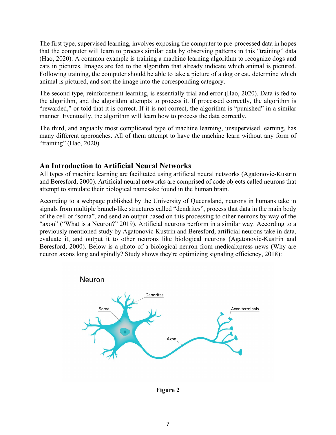The first type, supervised learning, involves exposing the computer to pre-processed data in hopes that the computer will learn to process similar data by observing patterns in this "training" data (Hao, 2020). A common example is training a machine learning algorithm to recognize dogs and cats in pictures. Images are fed to the algorithm that already indicate which animal is pictured. Following training, the computer should be able to take a picture of a dog or cat, determine which animal is pictured, and sort the image into the corresponding category.

The second type, reinforcement learning, is essentially trial and error (Hao, 2020). Data is fed to the algorithm, and the algorithm attempts to process it. If processed correctly, the algorithm is "rewarded," or told that it is correct. If it is not correct, the algorithm is "punished" in a similar manner. Eventually, the algorithm will learn how to process the data correctly.

The third, and arguably most complicated type of machine learning, unsupervised learning, has many different approaches. All of them attempt to have the machine learn without any form of "training" (Hao, 2020).

### <span id="page-8-0"></span>**An Introduction to Artificial Neural Networks**

All types of machine learning are facilitated using artificial neural networks (Agatonovic-Kustrin and Beresford, 2000). Artificial neural networks are comprised of code objects called neurons that attempt to simulate their biological namesake found in the human brain.

According to a webpage published by the University of Queensland, neurons in humans take in signals from multiple branch-like structures called "dendrites", process that data in the main body of the cell or "soma", and send an output based on this processing to other neurons by way of the "axon" ("What is a Neuron?" 2019). Artificial neurons perform in a similar way. According to a previously mentioned study by Agatonovic-Kustrin and Beresford, artificial neurons take in data, evaluate it, and output it to other neurons like biological neurons (Agatonovic-Kustrin and Beresford, 2000). Below is a photo of a biological neuron from medicalxpress news (Why are neuron axons long and spindly? Study shows they're optimizing signaling efficiency, 2018):



<span id="page-8-1"></span>**Figure 2**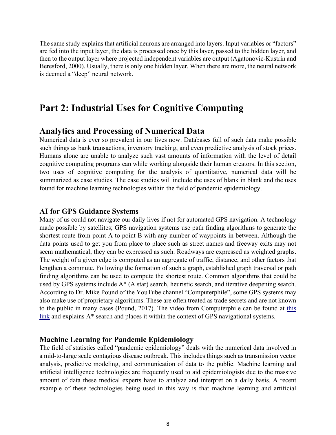The same study explains that artificial neurons are arranged into layers. Input variables or "factors" are fed into the input layer, the data is processed once by this layer, passed to the hidden layer, and then to the output layer where projected independent variables are output (Agatonovic-Kustrin and Beresford, 2000). Usually, there is only one hidden layer. When there are more, the neural network is deemed a "deep" neural network.

### <span id="page-9-1"></span><span id="page-9-0"></span>**Part 2: Industrial Uses for Cognitive Computing**

### **Analytics and Processing of Numerical Data**

Numerical data is ever so prevalent in our lives now. Databases full of such data make possible such things as bank transactions, inventory tracking, and even predictive analysis of stock prices. Humans alone are unable to analyze such vast amounts of information with the level of detail cognitive computing programs can while working alongside their human creators. In this section, two uses of cognitive computing for the analysis of quantitative, numerical data will be summarized as case studies. The case studies will include the uses of blank in blank and the uses found for machine learning technologies within the field of pandemic epidemiology.

#### <span id="page-9-2"></span>**AI for GPS Guidance Systems**

Many of us could not navigate our daily lives if not for automated GPS navigation. A technology made possible by satellites; GPS navigation systems use path finding algorithms to generate the shortest route from point A to point B with any number of waypoints in between. Although the data points used to get you from place to place such as street names and freeway exits may not seem mathematical, they can be expressed as such. Roadways are expressed as weighted graphs. The weight of a given edge is computed as an aggregate of traffic, distance, and other factors that lengthen a commute. Following the formation of such a graph, established graph traversal or path finding algorithms can be used to compute the shortest route. Common algorithms that could be used by GPS systems include A\* (A star) search, heuristic search, and iterative deepening search. According to Dr. Mike Pound of the YouTube channel "Computerphile", some GPS systems may also make use of proprietary algorithms. These are often treated as trade secrets and are not known to the public in many cases (Pound, 2017). The video from Computerphile can be found at [this](https://www.youtube.com/watch?v=ySN5Wnu88nE)  [link](https://www.youtube.com/watch?v=ySN5Wnu88nE) and explains A\* search and places it within the context of GPS navigational systems.

#### <span id="page-9-3"></span>**Machine Learning for Pandemic Epidemiology**

The field of statistics called "pandemic epidemiology" deals with the numerical data involved in a mid-to-large scale contagious disease outbreak. This includes things such as transmission vector analysis, predictive modeling, and communication of data to the public. Machine learning and artificial intelligence technologies are frequently used to aid epidemiologists due to the massive amount of data these medical experts have to analyze and interpret on a daily basis. A recent example of these technologies being used in this way is that machine learning and artificial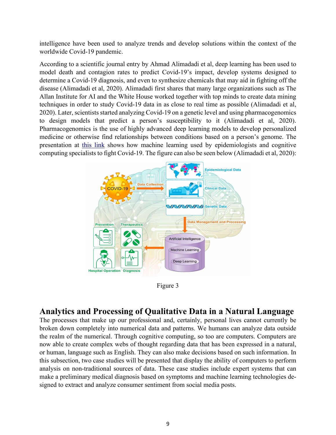intelligence have been used to analyze trends and develop solutions within the context of the worldwide Covid-19 pandemic.

According to a scientific journal entry by Ahmad Alimadadi et al, deep learning has been used to model death and contagion rates to predict Covid-19's impact, develop systems designed to determine a Covid-19 diagnosis, and even to synthesize chemicals that may aid in fighting off the disease (Alimadadi et al, 2020). Alimadadi first shares that many large organizations such as The Allan Institute for AI and the White House worked together with top minds to create data mining techniques in order to study Covid-19 data in as close to real time as possible (Alimadadi et al, 2020). Later, scientists started analyzing Covid-19 on a genetic level and using pharmacogenomics to design models that predict a person's susceptibility to it (Alimadadi et al, 2020). Pharmacogenomics is the use of highly advanced deep learning models to develop personalized medicine or otherwise find relationships between conditions based on a person's genome. The presentation at [this link](https://journals.physiology.org/action/downloadFigures?id=F0001&doi=10.1152/physiolgenomics.00029.2020) shows how machine learning used by epidemiologists and cognitive computing specialists to fight Covid-19. The figure can also be seen below (Alimadadi et al, 2020):



Figure 3

### <span id="page-10-1"></span><span id="page-10-0"></span>**Analytics and Processing of Qualitative Data in a Natural Language**

The processes that make up our professional and, certainly, personal lives cannot currently be broken down completely into numerical data and patterns. We humans can analyze data outside the realm of the numerical. Through cognitive computing, so too are computers. Computers are now able to create complex webs of thought regarding data that has been expressed in a natural, or human, language such as English. They can also make decisions based on such information. In this subsection, two case studies will be presented that display the ability of computers to perform analysis on non-traditional sources of data. These case studies include expert systems that can make a preliminary medical diagnosis based on symptoms and machine learning technologies designed to extract and analyze consumer sentiment from social media posts.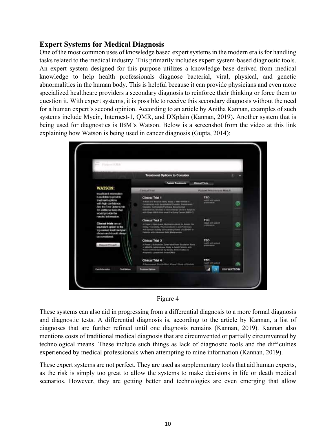### <span id="page-11-0"></span>**Expert Systems for Medical Diagnosis**

One of the most common uses of knowledge based expert systems in the modern era is for handling tasks related to the medical industry. This primarily includes expert system-based diagnostic tools. An expert system designed for this purpose utilizes a knowledge base derived from medical knowledge to help health professionals diagnose bacterial, viral, physical, and genetic abnormalities in the human body. This is helpful because it can provide physicians and even more specialized healthcare providers a secondary diagnosis to reinforce their thinking or force them to question it. With expert systems, it is possible to receive this secondary diagnosis without the need for a human expert's second opinion. According to an article by Anitha Kannan, examples of such systems include Mycin, Internest-1, QMR, and DXplain (Kannan, 2019). Another system that is being used for diagnostics is IBM's Watson. Below is a screenshot from the video at this link explaining how Watson is being used in cancer diagnosis (Gupta, 2014):





<span id="page-11-1"></span>These systems can also aid in progressing from a differential diagnosis to a more formal diagnosis and diagnostic tests. A differential diagnosis is, according to the article by Kannan, a list of diagnoses that are further refined until one diagnosis remains (Kannan, 2019). Kannan also mentions costs of traditional medical diagnosis that are circumvented or partially circumvented by technological means. These include such things as lack of diagnostic tools and the difficulties experienced by medical professionals when attempting to mine information (Kannan, 2019).

These expert systems are not perfect. They are used as supplementary tools that aid human experts, as the risk is simply too great to allow the systems to make decisions in life or death medical scenarios. However, they are getting better and technologies are even emerging that allow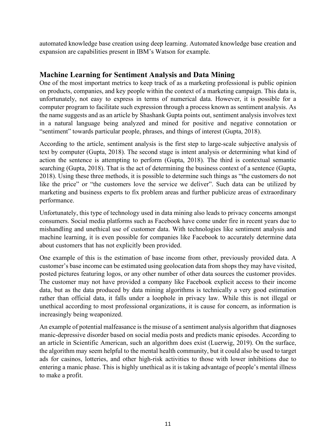automated knowledge base creation using deep learning. Automated knowledge base creation and expansion are capabilities present in IBM's Watson for example.

### <span id="page-12-0"></span>**Machine Learning for Sentiment Analysis and Data Mining**

One of the most important metrics to keep track of as a marketing professional is public opinion on products, companies, and key people within the context of a marketing campaign. This data is, unfortunately, not easy to express in terms of numerical data. However, it is possible for a computer program to facilitate such expression through a process known as sentiment analysis. As the name suggests and as an article by Shashank Gupta points out, sentiment analysis involves text in a natural language being analyzed and mined for positive and negative connotation or "sentiment" towards particular people, phrases, and things of interest (Gupta, 2018).

According to the article, sentiment analysis is the first step to large-scale subjective analysis of text by computer (Gupta, 2018). The second stage is intent analysis or determining what kind of action the sentence is attempting to perform (Gupta, 2018). The third is contextual semantic searching (Gupta, 2018). That is the act of determining the business context of a sentence (Gupta, 2018). Using these three methods, it is possible to determine such things as "the customers do not like the price" or "the customers love the service we deliver". Such data can be utilized by marketing and business experts to fix problem areas and further publicize areas of extraordinary performance.

Unfortunately, this type of technology used in data mining also leads to privacy concerns amongst consumers. Social media platforms such as Facebook have come under fire in recent years due to mishandling and unethical use of customer data. With technologies like sentiment analysis and machine learning, it is even possible for companies like Facebook to accurately determine data about customers that has not explicitly been provided.

One example of this is the estimation of base income from other, previously provided data. A customer's base income can be estimated using geolocation data from shops they may have visited, posted pictures featuring logos, or any other number of other data sources the customer provides. The customer may not have provided a company like Facebook explicit access to their income data, but as the data produced by data mining algorithms is technically a very good estimation rather than official data, it falls under a loophole in privacy law. While this is not illegal or unethical according to most professional organizations, it is cause for concern, as information is increasingly being weaponized.

An example of potential malfeasance is the misuse of a sentiment analysis algorithm that diagnoses manic-depressive disorder based on social media posts and predicts manic episodes. According to an article in Scientific American, such an algorithm does exist (Luerwig, 2019). On the surface, the algorithm may seem helpful to the mental health community, but it could also be used to target ads for casinos, lotteries, and other high-risk activities to those with lower inhibitions due to entering a manic phase. This is highly unethical as it is taking advantage of people's mental illness to make a profit.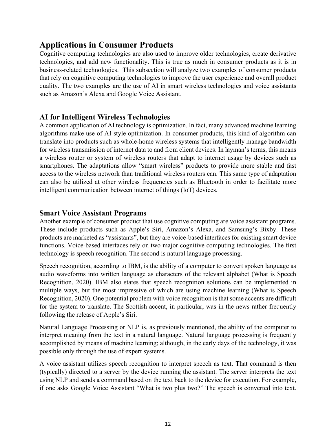### <span id="page-13-0"></span>**Applications in Consumer Products**

Cognitive computing technologies are also used to improve older technologies, create derivative technologies, and add new functionality. This is true as much in consumer products as it is in business-related technologies. This subsection will analyze two examples of consumer products that rely on cognitive computing technologies to improve the user experience and overall product quality. The two examples are the use of AI in smart wireless technologies and voice assistants such as Amazon's Alexa and Google Voice Assistant.

### <span id="page-13-1"></span>**AI for Intelligent Wireless Technologies**

A common application of AI technology is optimization. In fact, many advanced machine learning algorithms make use of AI-style optimization. In consumer products, this kind of algorithm can translate into products such as whole-home wireless systems that intelligently manage bandwidth for wireless transmission of internet data to and from client devices. In layman's terms, this means a wireless router or system of wireless routers that adapt to internet usage by devices such as smartphones. The adaptations allow "smart wireless" products to provide more stable and fast access to the wireless network than traditional wireless routers can. This same type of adaptation can also be utilized at other wireless frequencies such as Bluetooth in order to facilitate more intelligent communication between internet of things (IoT) devices.

### <span id="page-13-2"></span>**Smart Voice Assistant Programs**

Another example of consumer product that use cognitive computing are voice assistant programs. These include products such as Apple's Siri, Amazon's Alexa, and Samsung's Bixby. These products are marketed as "assistants", but they are voice-based interfaces for existing smart device functions. Voice-based interfaces rely on two major cognitive computing technologies. The first technology is speech recognition. The second is natural language processing.

Speech recognition, according to IBM, is the ability of a computer to convert spoken language as audio waveforms into written language as characters of the relevant alphabet (What is Speech Recognition, 2020). IBM also states that speech recognition solutions can be implemented in multiple ways, but the most impressive of which are using machine learning (What is Speech Recognition, 2020). One potential problem with voice recognition is that some accents are difficult for the system to translate. The Scottish accent, in particular, was in the news rather frequently following the release of Apple's Siri.

Natural Language Processing or NLP is, as previously mentioned, the ability of the computer to interpret meaning from the text in a natural language. Natural language processing is frequently accomplished by means of machine learning; although, in the early days of the technology, it was possible only through the use of expert systems.

A voice assistant utilizes speech recognition to interpret speech as text. That command is then (typically) directed to a server by the device running the assistant. The server interprets the text using NLP and sends a command based on the text back to the device for execution. For example, if one asks Google Voice Assistant "What is two plus two?" The speech is converted into text.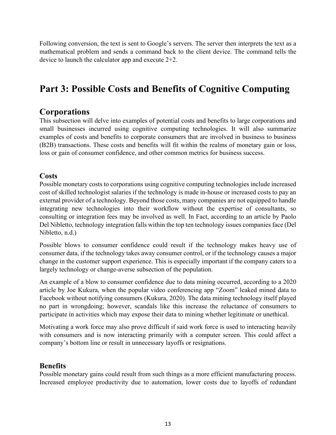Following conversion, the text is sent to Google's servers. The server then interprets the text as a mathematical problem and sends a command back to the client device. The command tells the device to launch the calculator app and execute 2+2.

## <span id="page-14-1"></span><span id="page-14-0"></span>**Part 3: Possible Costs and Benefits of Cognitive Computing**

### **Corporations**

This subsection will delve into examples of potential costs and benefits to large corporations and small businesses incurred using cognitive computing technologies. It will also summarize examples of costs and benefits to corporate consumers that are involved in business to business (B2B) transactions. These costs and benefits will fit within the realms of monetary gain or loss, loss or gain of consumer confidence, and other common metrics for business success.

### <span id="page-14-2"></span>**Costs**

Possible monetary costs to corporations using cognitive computing technologies include increased cost of skilled technologist salaries if the technology is made in-house or increased costs to pay an external provider of a technology. Beyond those costs, many companies are not equipped to handle integrating new technologies into their workflow without the expertise of consultants, so consulting or integration fees may be involved as well. In Fact, according to an article by Paolo Del Nibletto, technology integration falls within the top ten technology issues companies face (Del Nibletto, n.d.)

Possible blows to consumer confidence could result if the technology makes heavy use of consumer data, if the technology takes away consumer control, or if the technology causes a major change in the customer support experience. This is especially important if the company caters to a largely technology or change-averse subsection of the population.

An example of a blow to consumer confidence due to data mining occurred, according to a 2020 article by Joe Kukura, when the popular video conferencing app "Zoom" leaked mined data to Facebook without notifying consumers (Kukura, 2020). The data mining technology itself played no part in wrongdoing; however, scandals like this increase the reluctance of consumers to participate in activities which may expose their data to mining whether legitimate or unethical.

Motivating a work force may also prove difficult if said work force is used to interacting heavily with consumers and is now interacting primarily with a computer screen. This could affect a company's bottom line or result in unnecessary layoffs or resignations.

### <span id="page-14-3"></span>**Benefits**

Possible monetary gains could result from such things as a more efficient manufacturing process. Increased employee productivity due to automation, lower costs due to layoffs of redundant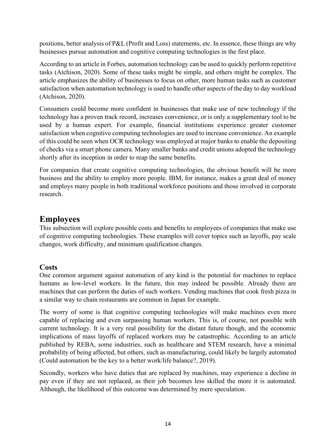positions, better analysis of P&L (Profit and Loss) statements, etc. In essence, these things are why businesses pursue automation and cognitive computing technologies in the first place.

According to an article in Forbes, automation technology can be used to quickly perform repetitive tasks (Atchison, 2020). Some of these tasks might be simple, and others might be complex. The article emphasizes the ability of businesses to focus on other, more human tasks such as customer satisfaction when automation technology is used to handle other aspects of the day to day workload (Atchison, 2020).

Consumers could become more confident in businesses that make use of new technology if the technology has a proven track record, increases convenience, or is only a supplementary tool to be used by a human expert. For example, financial institutions experience greater customer satisfaction when cognitive computing technologies are used to increase convenience. An example of this could be seen when OCR technology was employed at major banks to enable the depositing of checks via a smart phone camera. Many smaller banks and credit unions adopted the technology shortly after its inception in order to reap the same benefits.

For companies that create cognitive computing technologies, the obvious benefit will be more business and the ability to employ more people. IBM, for instance, makes a great deal of money and employs many people in both traditional workforce positions and those involved in corporate research.

### <span id="page-15-0"></span>**Employees**

This subsection will explore possible costs and benefits to employees of companies that make use of cognitive computing technologies. These examples will cover topics such as layoffs, pay scale changes, work difficulty, and minimum qualification changes.

### <span id="page-15-1"></span>**Costs**

One common argument against automation of any kind is the potential for machines to replace humans as low-level workers. In the future, this may indeed be possible. Already there are machines that can perform the duties of such workers. Vending machines that cook fresh pizza in a similar way to chain restaurants are common in Japan for example.

The worry of some is that cognitive computing technologies will make machines even more capable of replacing and even surpassing human workers. This is, of course, not possible with current technology. It is a very real possibility for the distant future though, and the economic implications of mass layoffs of replaced workers may be catastrophic. According to an article published by REBA, some industries, such as healthcare and STEM research, have a minimal probability of being affected, but others, such as manufacturing, could likely be largely automated (Could automation be the key to a better work/life balance?, 2019).

Secondly, workers who have duties that are replaced by machines, may experience a decline in pay even if they are not replaced, as their job becomes less skilled the more it is automated. Although, the likelihood of this outcome was determined by mere speculation.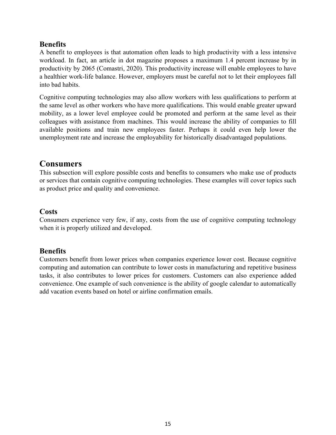### <span id="page-16-0"></span>**Benefits**

A benefit to employees is that automation often leads to high productivity with a less intensive workload. In fact, an article in dot magazine proposes a maximum 1.4 percent increase by in productivity by 2065 (Comastri, 2020). This productivity increase will enable employees to have a healthier work-life balance. However, employers must be careful not to let their employees fall into bad habits.

Cognitive computing technologies may also allow workers with less qualifications to perform at the same level as other workers who have more qualifications. This would enable greater upward mobility, as a lower level employee could be promoted and perform at the same level as their colleagues with assistance from machines. This would increase the ability of companies to fill available positions and train new employees faster. Perhaps it could even help lower the unemployment rate and increase the employability for historically disadvantaged populations.

### <span id="page-16-1"></span>**Consumers**

This subsection will explore possible costs and benefits to consumers who make use of products or services that contain cognitive computing technologies. These examples will cover topics such as product price and quality and convenience.

### <span id="page-16-2"></span>**Costs**

Consumers experience very few, if any, costs from the use of cognitive computing technology when it is properly utilized and developed.

### <span id="page-16-3"></span>**Benefits**

<span id="page-16-4"></span>Customers benefit from lower prices when companies experience lower cost. Because cognitive computing and automation can contribute to lower costs in manufacturing and repetitive business tasks, it also contributes to lower prices for customers. Customers can also experience added convenience. One example of such convenience is the ability of google calendar to automatically add vacation events based on hotel or airline confirmation emails.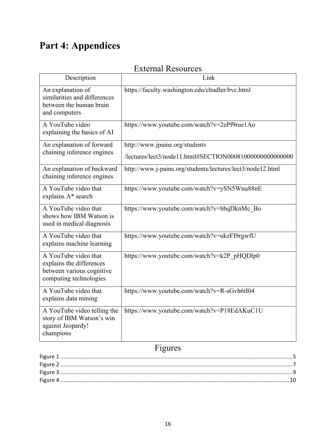# <span id="page-17-0"></span>**Part 4: Appendices**

## External Resources

| Description                                                                                             | Link                                                                                       |
|---------------------------------------------------------------------------------------------------------|--------------------------------------------------------------------------------------------|
| An explanation of<br>similarities and differences<br>between the human brain<br>and computers           | https://faculty.washington.edu/chudler/bvc.html                                            |
| A YouTube video<br>explaining the basics of AI                                                          | https://www.youtube.com/watch?v=2ePf9rue1Ao                                                |
| An explanation of forward<br>chaining inference engines                                                 | http://www.jpaine.org/students<br>/lectures/lect3/node11.html#SECTION000810000000000000000 |
| An explanation of backward<br>chaining inference engines                                                | http://www.j-paine.org/students/lectures/lect3/node12.html                                 |
| A YouTube video that<br>explains A* search                                                              | https://www.youtube.com/watch?v=ySN5Wnu88nE                                                |
| A YouTube video that<br>shows how IBM Watson is<br>used in medical diagnosis                            | https://www.youtube.com/watch?v=hbqDknMc Bo                                                |
| A YouTube video that<br>explains machine learning                                                       | https://www.youtube.com/watch?v=ukzFI9rgwfU                                                |
| A YouTube video that<br>explains the differences<br>between various cognitive<br>computing technologies | https://www.youtube.com/watch?v=k2P pHQDlp0                                                |
| A YouTube video that<br>explains data mining                                                            | https://www.youtube.com/watch?v=R-sGvh6tI04                                                |
| A YouTube video telling the<br>story of IBM Watson's win<br>against Jeopardy!<br>champions              | https://www.youtube.com/watch?v=P18EdAKuC1U                                                |

## Figures

<span id="page-17-1"></span>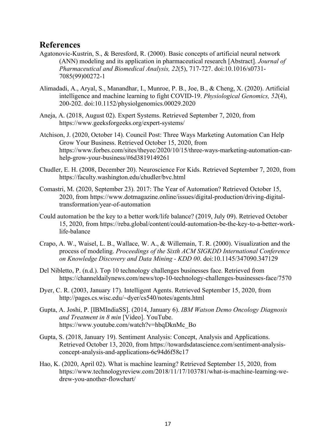### <span id="page-18-0"></span>**References**

- Agatonovic-Kustrin, S., & Beresford, R. (2000). Basic concepts of artificial neural network (ANN) modeling and its application in pharmaceutical research [Abstract]. *Journal of Pharmaceutical and Biomedical Analysis, 22*(5), 717-727. doi:10.1016/s0731- 7085(99)00272-1
- Alimadadi, A., Aryal, S., Manandhar, I., Munroe, P. B., Joe, B., & Cheng, X. (2020). Artificial intelligence and machine learning to fight COVID-19. *Physiological Genomics, 52*(4), 200-202. doi:10.1152/physiolgenomics.00029.2020
- Aneja, A. (2018, August 02). Expert Systems. Retrieved September 7, 2020, from <https://www.geeksforgeeks.org/expert-systems/>
- Atchison, J. (2020, October 14). Council Post: Three Ways Marketing Automation Can Help Grow Your Business. Retrieved October 15, 2020, from https://www.forbes.com/sites/theyec/2020/10/15/three-ways-marketing-automation-canhelp-grow-your-business/#6d3819149261
- Chudler, E. H. (2008, December 20). Neuroscience For Kids. Retrieved September 7, 2020, from <https://faculty.washington.edu/chudler/bvc.html>
- Comastri, M. (2020, September 23). 2017: The Year of Automation? Retrieved October 15, 2020, from https://www.dotmagazine.online/issues/digital-production/driving-digitaltransformation/year-of-automation
- Could automation be the key to a better work/life balance? (2019, July 09). Retrieved October 15, 2020, from https://reba.global/content/could-automation-be-the-key-to-a-better-worklife-balance
- Crapo, A. W., Waisel, L. B., Wallace, W. A., & Willemain, T. R. (2000). Visualization and the process of modeling. *Proceedings of the Sixth ACM SIGKDD International Conference on Knowledge Discovery and Data Mining - KDD 00*. doi:10.1145/347090.347129
- Del Nibletto, P. (n.d.). Top 10 technology challenges businesses face. Retrieved from https://channeldailynews.com/news/top-10-technology-challenges-businesses-face/7570
- Dyer, C. R. (2003, January 17). Intelligent Agents. Retrieved September 15, 2020, from http://pages.cs.wisc.edu/~dyer/cs540/notes/agents.html
- Gupta, A. Joshi, P. [IBMIndiaSS]. (2014, January 6). *IBM Watson Demo Oncology Diagnosis and Treatment in 8 min* [Video]. YouTube. https://www.youtube.com/watch?v=hbqDknMc\_Bo
- Gupta, S. (2018, January 19). Sentiment Analysis: Concept, Analysis and Applications. Retrieved October 13, 2020, from https://towardsdatascience.com/sentiment-analysisconcept-analysis-and-applications-6c94d6f58c17
- Hao, K. (2020, April 02). What is machine learning? Retrieved September 15, 2020, from https://www.technologyreview.com/2018/11/17/103781/what-is-machine-learning-wedrew-you-another-flowchart/